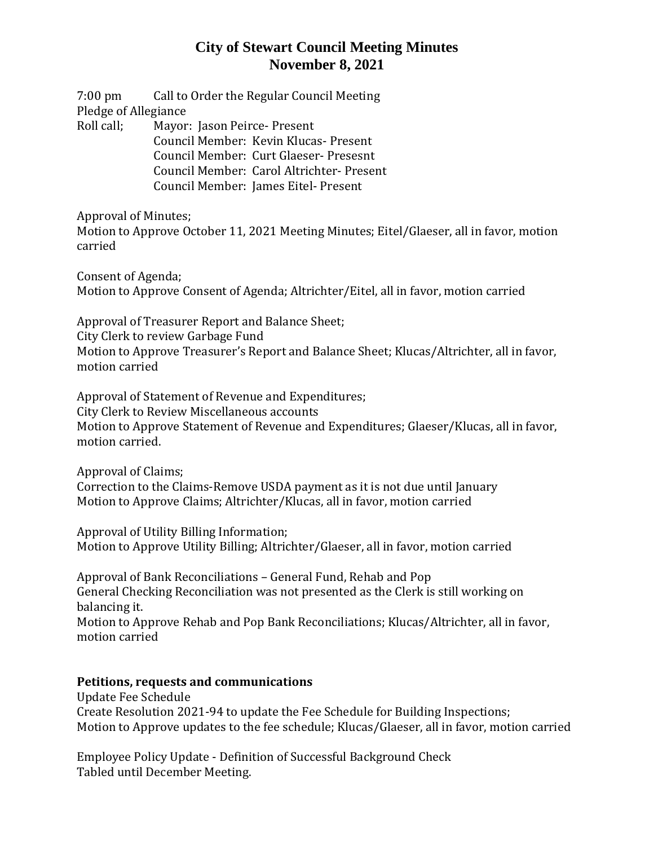7:00 pm Call to Order the Regular Council Meeting Pledge of Allegiance Roll call; Mayor: Jason Peirce- Present Council Member: Kevin Klucas- Present Council Member: Curt Glaeser- Presesnt Council Member: Carol Altrichter- Present Council Member: James Eitel- Present

Approval of Minutes;

Motion to Approve October 11, 2021 Meeting Minutes; Eitel/Glaeser, all in favor, motion carried

Consent of Agenda; Motion to Approve Consent of Agenda; Altrichter/Eitel, all in favor, motion carried

Approval of Treasurer Report and Balance Sheet;

City Clerk to review Garbage Fund

Motion to Approve Treasurer's Report and Balance Sheet; Klucas/Altrichter, all in favor, motion carried

Approval of Statement of Revenue and Expenditures; City Clerk to Review Miscellaneous accounts Motion to Approve Statement of Revenue and Expenditures; Glaeser/Klucas, all in favor, motion carried.

Approval of Claims;

Correction to the Claims-Remove USDA payment as it is not due until January Motion to Approve Claims; Altrichter/Klucas, all in favor, motion carried

Approval of Utility Billing Information; Motion to Approve Utility Billing; Altrichter/Glaeser, all in favor, motion carried

Approval of Bank Reconciliations – General Fund, Rehab and Pop General Checking Reconciliation was not presented as the Clerk is still working on balancing it.

Motion to Approve Rehab and Pop Bank Reconciliations; Klucas/Altrichter, all in favor, motion carried

#### **Petitions, requests and communications**

Update Fee Schedule Create Resolution 2021-94 to update the Fee Schedule for Building Inspections; Motion to Approve updates to the fee schedule; Klucas/Glaeser, all in favor, motion carried

Employee Policy Update - Definition of Successful Background Check Tabled until December Meeting.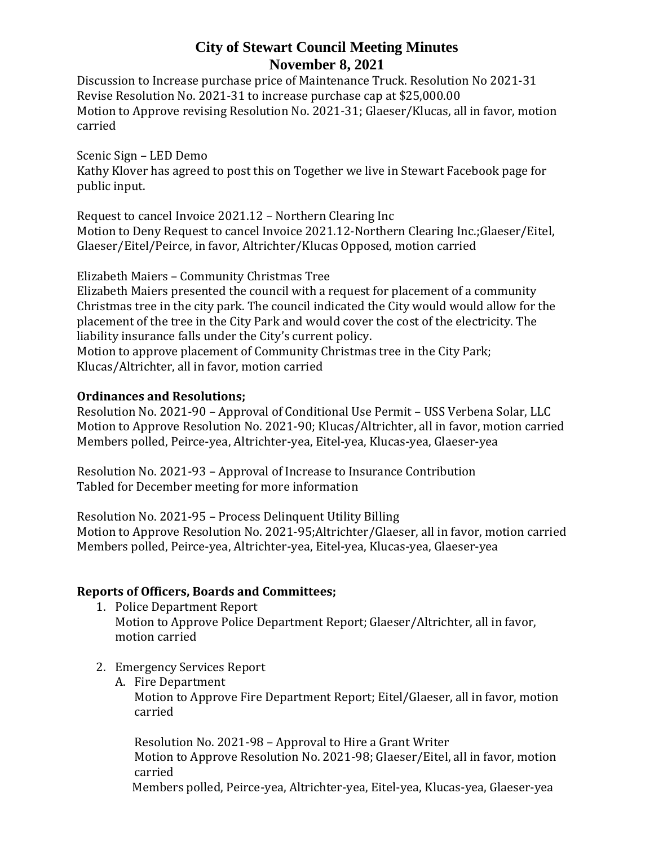Discussion to Increase purchase price of Maintenance Truck. Resolution No 2021-31 Revise Resolution No. 2021-31 to increase purchase cap at \$25,000.00 Motion to Approve revising Resolution No. 2021-31; Glaeser/Klucas, all in favor, motion carried

Scenic Sign – LED Demo Kathy Klover has agreed to post this on Together we live in Stewart Facebook page for public input.

Request to cancel Invoice 2021.12 – Northern Clearing Inc Motion to Deny Request to cancel Invoice 2021.12-Northern Clearing Inc.;Glaeser/Eitel, Glaeser/Eitel/Peirce, in favor, Altrichter/Klucas Opposed, motion carried

Elizabeth Maiers – Community Christmas Tree

Elizabeth Maiers presented the council with a request for placement of a community Christmas tree in the city park. The council indicated the City would would allow for the placement of the tree in the City Park and would cover the cost of the electricity. The liability insurance falls under the City's current policy.

Motion to approve placement of Community Christmas tree in the City Park; Klucas/Altrichter, all in favor, motion carried

### **Ordinances and Resolutions;**

Resolution No. 2021-90 – Approval of Conditional Use Permit – USS Verbena Solar, LLC Motion to Approve Resolution No. 2021-90; Klucas/Altrichter, all in favor, motion carried Members polled, Peirce-yea, Altrichter-yea, Eitel-yea, Klucas-yea, Glaeser-yea

Resolution No. 2021-93 – Approval of Increase to Insurance Contribution Tabled for December meeting for more information

Resolution No. 2021-95 – Process Delinquent Utility Billing Motion to Approve Resolution No. 2021-95;Altrichter/Glaeser, all in favor, motion carried Members polled, Peirce-yea, Altrichter-yea, Eitel-yea, Klucas-yea, Glaeser-yea

### **Reports of Officers, Boards and Committees;**

- 1. Police Department Report Motion to Approve Police Department Report; Glaeser/Altrichter, all in favor, motion carried
- 2. Emergency Services Report
	- A. Fire Department

Motion to Approve Fire Department Report; Eitel/Glaeser, all in favor, motion carried

Resolution No. 2021-98 – Approval to Hire a Grant Writer Motion to Approve Resolution No. 2021-98; Glaeser/Eitel, all in favor, motion carried

Members polled, Peirce-yea, Altrichter-yea, Eitel-yea, Klucas-yea, Glaeser-yea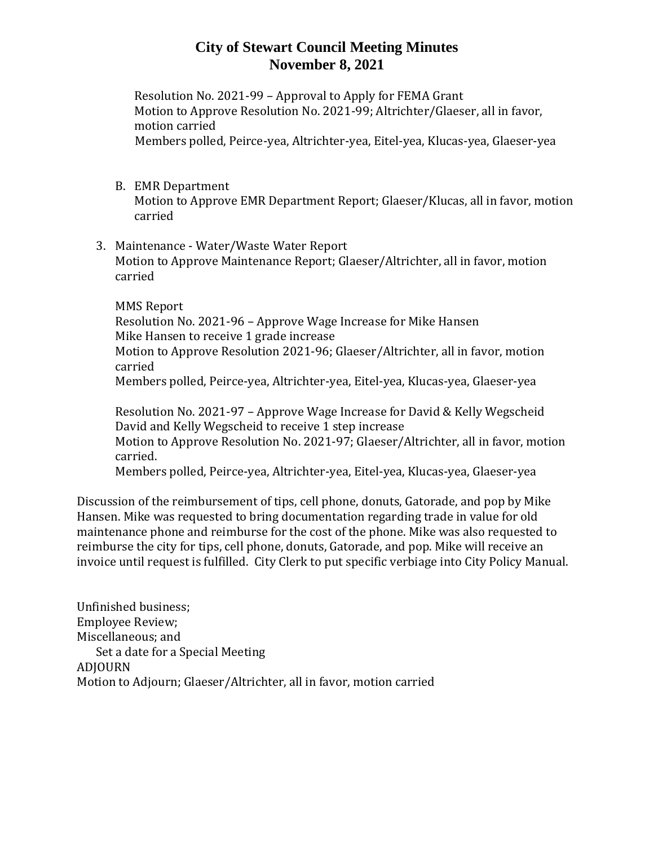Resolution No. 2021-99 – Approval to Apply for FEMA Grant Motion to Approve Resolution No. 2021-99; Altrichter/Glaeser, all in favor, motion carried Members polled, Peirce-yea, Altrichter-yea, Eitel-yea, Klucas-yea, Glaeser-yea

- B. EMR Department Motion to Approve EMR Department Report; Glaeser/Klucas, all in favor, motion carried
- 3. Maintenance Water/Waste Water Report Motion to Approve Maintenance Report; Glaeser/Altrichter, all in favor, motion carried

MMS Report Resolution No. 2021-96 – Approve Wage Increase for Mike Hansen Mike Hansen to receive 1 grade increase Motion to Approve Resolution 2021-96; Glaeser/Altrichter, all in favor, motion carried Members polled, Peirce-yea, Altrichter-yea, Eitel-yea, Klucas-yea, Glaeser-yea

Resolution No. 2021-97 – Approve Wage Increase for David & Kelly Wegscheid David and Kelly Wegscheid to receive 1 step increase Motion to Approve Resolution No. 2021-97; Glaeser/Altrichter, all in favor, motion

carried.

Members polled, Peirce-yea, Altrichter-yea, Eitel-yea, Klucas-yea, Glaeser-yea

Discussion of the reimbursement of tips, cell phone, donuts, Gatorade, and pop by Mike Hansen. Mike was requested to bring documentation regarding trade in value for old maintenance phone and reimburse for the cost of the phone. Mike was also requested to reimburse the city for tips, cell phone, donuts, Gatorade, and pop. Mike will receive an invoice until request is fulfilled. City Clerk to put specific verbiage into City Policy Manual.

Unfinished business; Employee Review; Miscellaneous; and Set a date for a Special Meeting ADJOURN Motion to Adjourn; Glaeser/Altrichter, all in favor, motion carried